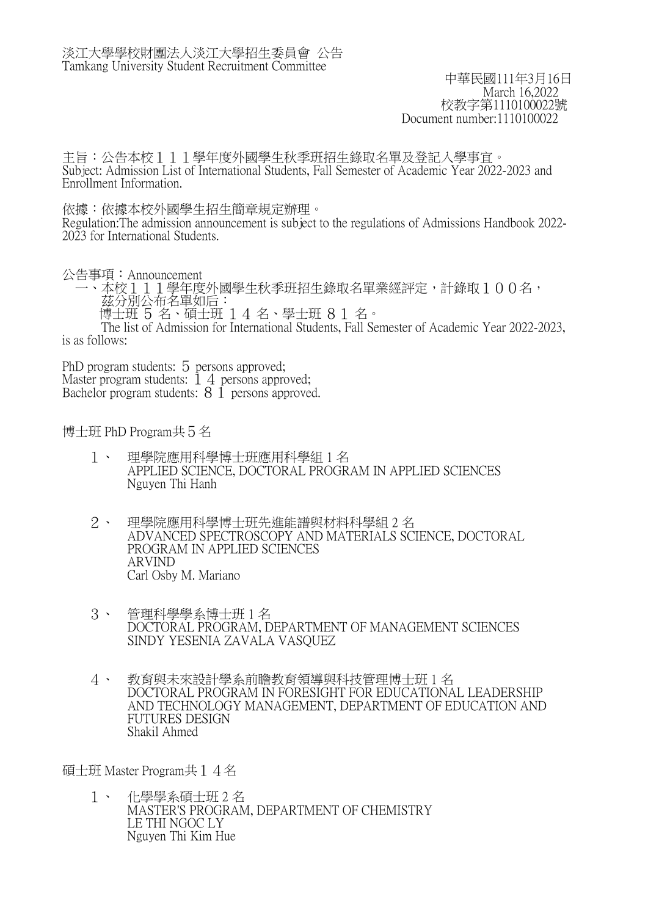中華民國111年3月16日 March 16,2022 校教字第1110100022號 Document number:1110100022

主旨:公告本校111學年度外國學生秋季班招生錄取名單及登記入學事宜。 Subject: Admission List of International Students, Fall Semester of Academic Year 2022-2023 and Enrollment Information.

依據:依據本校外國學生招生簡章規定辦理。

Regulation:The admission announcement is subject to the regulations of Admissions Handbook 2022- 2023 for International Students.

公告事項:Announcement

 一、本校111學年度外國學生秋季班招生錄取名單業經評定,計錄取100名, 茲分別公布名單如后:

博士班 5 名、碩士班 14 名、學士班 81 名。

 The list of Admission for International Students, Fall Semester of Academic Year 2022-2023, is as follows:

PhD program students: 5 persons approved; Master program students:  $\overline{1}$  4 persons approved; Bachelor program students:  $8\overline{1}$  persons approved.

博士班 PhD Program共5名

- 1、 理學院應用科學博士班應用科學組 1 名 APPLIED SCIENCE, DOCTORAL PROGRAM IN APPLIED SCIENCES Nguyen Thi Hanh
- 2、 理學院應用科學博士班先進能譜與材料科學組 2 名 ADVANCED SPECTROSCOPY AND MATERIALS SCIENCE, DOCTORAL PROGRAM IN APPLIED SCIENCES ARVIND Carl Osby M. Mariano
- 3、 管理科學學系博士班 1 名 DOCTORAL PROGRAM, DEPARTMENT OF MANAGEMENT SCIENCES SINDY YESENIA ZAVALA VASQUEZ
- 4、 教育與未來設計學系前瞻教育領導與科技管理博士班 1 名 DOCTORAL PROGRAM IN FORESIGHT FOR EDUCATIONAL LEADERSHIP AND TECHNOLOGY MANAGEMENT, DEPARTMENT OF EDUCATION AND FUTURES DESIGN Shakil Ahmed

碩士班 Master Program共14名

 1、 化學學系碩士班 2 名 MASTER'S PROGRAM, DEPARTMENT OF CHEMISTRY LE THI NGOC LY Nguyen Thi Kim Hue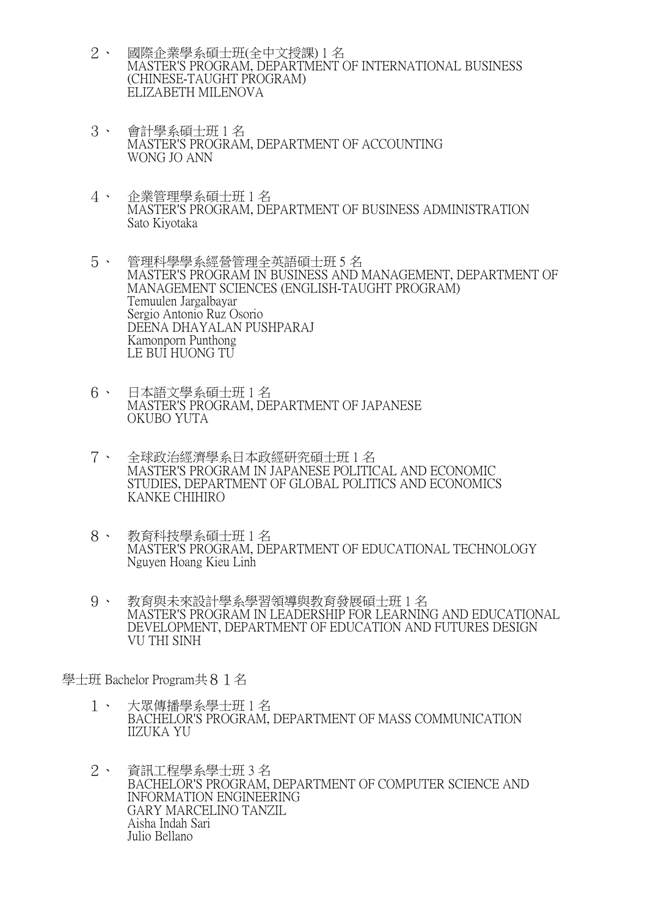- 2、 國際企業學系碩士班(全中文授課) 1 名 MASTER'S PROGRAM, DEPARTMENT OF INTERNATIONAL BUSINESS (CHINESE-TAUGHT PROGRAM) ELIZABETH MILENOVA
- 3、 會計學系碩士班 1 名 MASTER'S PROGRAM, DEPARTMENT OF ACCOUNTING WONG JO ANN
- 4、 企業管理學系碩士班 1 名 MASTER'S PROGRAM, DEPARTMENT OF BUSINESS ADMINISTRATION Sato Kiyotaka
- 5、 管理科學學系經營管理全英語碩士班 5 名 MASTER'S PROGRAM IN BUSINESS AND MANAGEMENT, DEPARTMENT OF MANAGEMENT SCIENCES (ENGLISH-TAUGHT PROGRAM) Temuulen Jargalbayar Sergio Antonio Ruz Osorio DEENA DHAYALAN PUSHPARAJ Kamonporn Punthong LE BUI HUONG TU
- 6、 日本語文學系碩士班 1 名 MASTER'S PROGRAM, DEPARTMENT OF JAPANESE OKUBO YUTA
- 7、 全球政治經濟學系日本政經研究碩士班 1 名 MASTER'S PROGRAM IN JAPANESE POLITICAL AND ECONOMIC STUDIES, DEPARTMENT OF GLOBAL POLITICS AND ECONOMICS KANKE CHIHIRO
- 8、 教育科技學系碩士班 1 名 MASTER'S PROGRAM, DEPARTMENT OF EDUCATIONAL TECHNOLOGY Nguyen Hoang Kieu Linh
- 9、 教育與未來設計學系學習領導與教育發展碩士班 1 名 MASTER'S PROGRAM IN LEADERSHIP FOR LEARNING AND EDUCATIONAL DEVELOPMENT, DEPARTMENT OF EDUCATION AND FUTURES DESIGN VU THI SINH

學士班 Bachelor Program共81名

- 1、 大眾傳播學系學士班 1 名 BACHELOR'S PROGRAM, DEPARTMENT OF MASS COMMUNICATION IIZUKA YU
- 2、 資訊工程學系學士班 3 名 BACHELOR'S PROGRAM, DEPARTMENT OF COMPUTER SCIENCE AND INFORMATION ENGINEERING GARY MARCELINO TANZIL Aisha Indah Sari Julio Bellano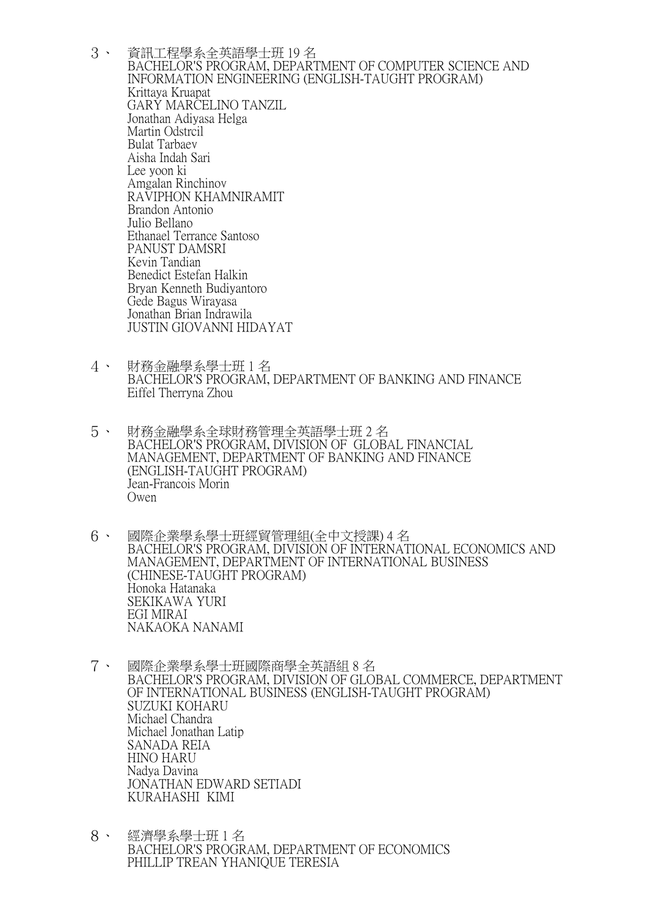- 3、 資訊工程學系全英語學士班 19 名 BACHELOR'S PROGRAM, DEPARTMENT OF COMPUTER SCIENCE AND INFORMATION ENGINEERING (ENGLISH-TAUGHT PROGRAM) Krittaya Kruapat GARY MARCELINO TANZIL Jonathan Adiyasa Helga Martin Odstrcil Bulat Tarbaev Aisha Indah Sari Lee yoon ki Amgalan Rinchinov RAVIPHON KHAMNIRAMIT Brandon Antonio Julio Bellano Ethanael Terrance Santoso PANUST DAMSRI Kevin Tandian Benedict Estefan Halkin Bryan Kenneth Budiyantoro Gede Bagus Wirayasa Jonathan Brian Indrawila JUSTIN GIOVANNI HIDAYAT
- 4、 財務金融學系學士班 1 名 BACHELOR'S PROGRAM, DEPARTMENT OF BANKING AND FINANCE Eiffel Therryna Zhou
- 5、 財務金融學系全球財務管理全英語學士班 2 名 BACHELOR'S PROGRAM, DIVISION OF GLOBAL FINANCIAL MANAGEMENT, DEPARTMENT OF BANKING AND FINANCE (ENGLISH-TAUGHT PROGRAM) Jean-Francois Morin Owen
- 6、 國際企業學系學士班經貿管理組(全中文授課) 4 名 BACHELOR'S PROGRAM, DIVISION OF INTERNATIONAL ECONOMICS AND MANAGEMENT, DEPARTMENT OF INTERNATIONAL BUSINESS (CHINESE-TAUGHT PROGRAM) Honoka Hatanaka SEKIKAWA YURI EGI MIRAI NAKAOKA NANAMI
- 7、 國際企業學系學士班國際商學全英語組 8 名 BACHELOR'S PROGRAM, DIVISION OF GLOBAL COMMERCE, DEPARTMENT OF INTERNATIONAL BUSINESS (ENGLISH-TAUGHT PROGRAM) SUZUKI KOHARU Michael Chandra Michael Jonathan Latip SANADA REIA HINO HARU Nadya Davina JONATHAN EDWARD SETIADI KURAHASHI KIMI
- 8、 經濟學系學士班 1 名 BACHELOR'S PROGRAM, DEPARTMENT OF ECONOMICS PHILLIP TREAN YHANIQUE TERESIA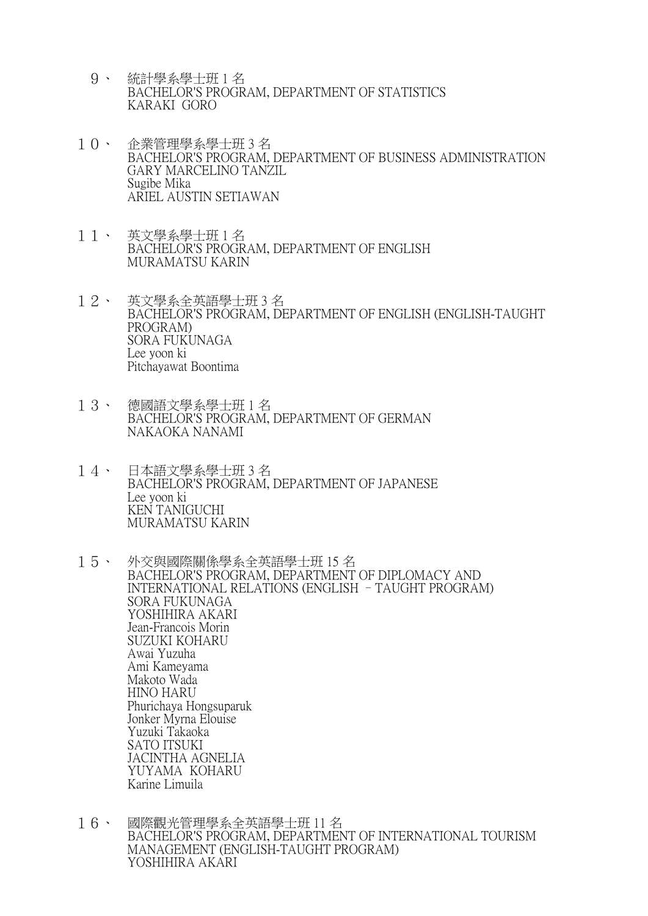- 9、 統計學系學士班 1 名 BACHELOR'S PROGRAM, DEPARTMENT OF STATISTICS KARAKI GORO
- 10、 企業管理學系學士班 3 名 BACHELOR'S PROGRAM, DEPARTMENT OF BUSINESS ADMINISTRATION GARY MARCELINO TANZIL Sugibe Mika ARIEL AUSTIN SETIAWAN
- 11、 英文學系學士班 1 名 BACHELOR'S PROGRAM, DEPARTMENT OF ENGLISH MURAMATSU KARIN
- 12、 英文學系全英語學士班 3 名 BACHELOR'S PROGRAM, DEPARTMENT OF ENGLISH (ENGLISH-TAUGHT PROGRAM) SORA FUKUNAGA Lee yoon ki Pitchayawat Boontima
- 13、 德國語文學系學士班 1 名 BACHELOR'S PROGRAM, DEPARTMENT OF GERMAN NAKAOKA NANAMI
- 14、 日本語文學系學士班 3 名 BACHELOR'S PROGRAM, DEPARTMENT OF JAPANESE Lee yoon ki KEN TANIGUCHI MURAMATSU KARIN
- 15、 外交與國際關係學系全英語學士班 15 名 BACHELOR'S PROGRAM, DEPARTMENT OF DIPLOMACY AND INTERNATIONAL RELATIONS (ENGLISH –TAUGHT PROGRAM) SORA FUKUNAGA YOSHIHIRA AKARI Jean-Francois Morin SUZUKI KOHARU Awai Yuzuha Ami Kameyama Makoto Wada HINO HARU Phurichaya Hongsuparuk Jonker Myrna Elouise Yuzuki Takaoka SATO ITSUKI JACINTHA AGNELIA YUYAMA KOHARU Karine Limuila
- 16、 國際觀光管理學系全英語學士班 11名 BACHELOR'S PROGRAM, DEPARTMENT OF INTERNATIONAL TOURISM MANAGEMENT (ENGLISH-TAUGHT PROGRAM) YOSHIHIRA AKARI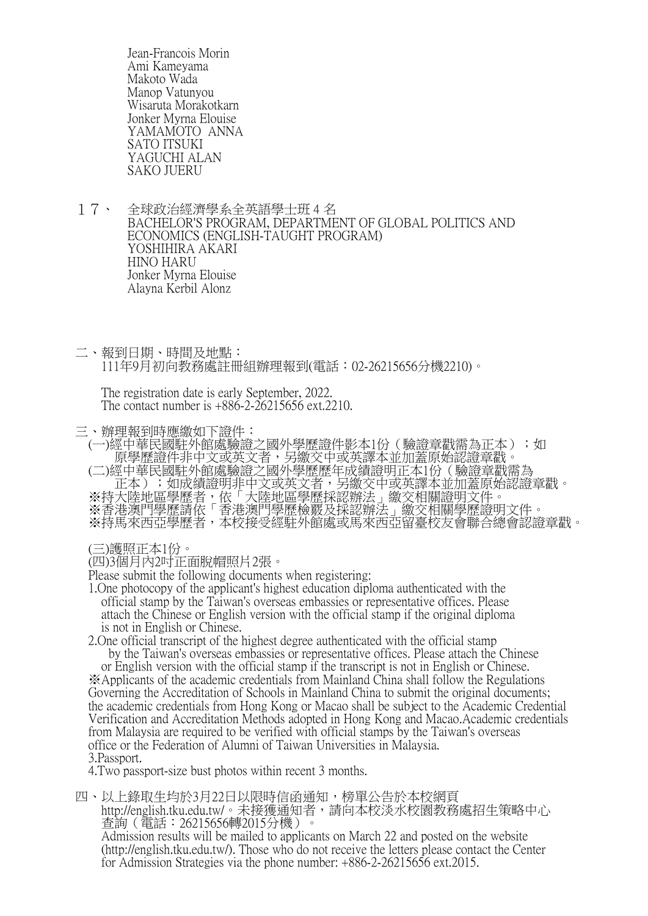Jean-Francois Morin Ami Kameyama Makoto Wada Manop Vatunyou Wisaruta Morakotkarn Jonker Myrna Elouise YAMAMOTO ANNA SATO ITSUKI YAGUCHI ALAN SAKO JUERU

- 17、 全球政治經濟學系全英語學士班 4 名 BACHELOR'S PROGRAM, DEPARTMENT OF GLOBAL POLITICS AND ECONOMICS (ENGLISH-TAUGHT PROGRAM) YOSHIHIRA AKARI HINO HARU Jonker Myrna Elouise Alayna Kerbil Alonz
- 二、報到日期、時間及地點: 111年9月初向教務處註冊組辦理報到(電話:02-26215656分機2210)。

 The registration date is early September, 2022. The contact number is +886-2-26215656 ext.2210.

三、辦理報到時應繳如下證件:

(一)經中華民國駐外館處驗證之國外學歷證件影本1份 (驗證章戳需為正本);如 原學歷證件非中文或英文者,另繳交中或英譯本並加蓋原始認證章戳。 (二)經中華民國駐外館處驗證之國外學歷歷年成績證明正本1份(驗證章戳需為 正本);如成績證明非中文或英文者,另繳交中或英譯本並加蓋原始認證章戳。 ※持大陸地區學歷者,依「大陸地區學歷採認辦法」繳交相關證明文件。 ※香港澳門學歷請依「香港澳門學歷檢覈及採認辦法」繳交相關學歷證明文件。 ※持馬來西亞學歷者,本校接受經駐外館處或馬來西亞留臺校友會聯合總會認證章戳。

(三)護照正本1份。

(四)3個月內2吋正面脫帽照片2張。

Please submit the following documents when registering:

 1.One photocopy of the applicant's highest education diploma authenticated with the official stamp by the Taiwan's overseas embassies or representative offices. Please attach the Chinese or English version with the official stamp if the original diploma is not in English or Chinese.

 2.One official transcript of the highest degree authenticated with the official stamp by the Taiwan's overseas embassies or representative offices. Please attach the Chinese

 or English version with the official stamp if the transcript is not in English or Chinese. ※Applicants of the academic credentials from Mainland China shall follow the Regulations Governing the Accreditation of Schools in Mainland China to submit the original documents; the academic credentials from Hong Kong or Macao shall be subject to the Academic Credential Verification and Accreditation Methods adopted in Hong Kong and Macao.Academic credentials from Malaysia are required to be verified with official stamps by the Taiwan's overseas office or the Federation of Alumni of Taiwan Universities in Malaysia. 3.Passport.

4.Two passport-size bust photos within recent 3 months.

四、以上錄取生均於3月22日以限時信函通知,榜單公告於本校網頁 http://english.tku.edu.tw/。未接獲通知者,請向本校淡水校園教務處招生策略中心 查詢(電話:26215656轉2015分機)。 Admission results will be mailed to applicants on March 22 and posted on the website (http://english.tku.edu.tw/). Those who do not receive the letters please contact the Center for Admission Strategies via the phone number: +886-2-26215656 ext.2015.